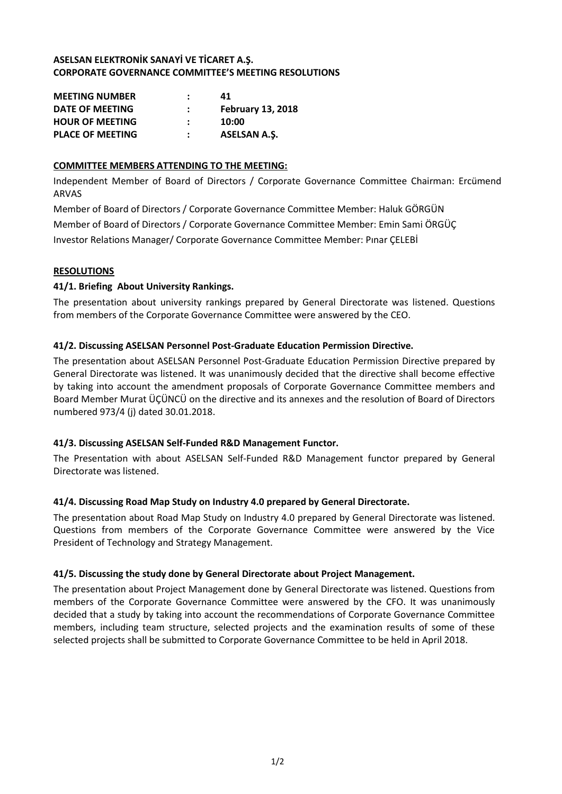# **ASELSAN ELEKTRONİK SANAYİ VE TİCARET A.Ş. CORPORATE GOVERNANCE COMMITTEE'S MEETING RESOLUTIONS**

| <b>MEETING NUMBER</b>   | 41                       |
|-------------------------|--------------------------|
| DATE OF MEETING         | <b>February 13, 2018</b> |
| <b>HOUR OF MEETING</b>  | 10:00                    |
| <b>PLACE OF MEETING</b> | <b>ASELSAN A.S.</b>      |

# **COMMITTEE MEMBERS ATTENDING TO THE MEETING:**

Independent Member of Board of Directors / Corporate Governance Committee Chairman: Ercümend ARVAS

Member of Board of Directors / Corporate Governance Committee Member: Haluk GÖRGÜN Member of Board of Directors / Corporate Governance Committee Member: Emin Sami ÖRGÜÇ Investor Relations Manager/ Corporate Governance Committee Member: Pınar ÇELEBİ

## **RESOLUTIONS**

## **41/1. Briefing About University Rankings.**

The presentation about university rankings prepared by General Directorate was listened. Questions from members of the Corporate Governance Committee were answered by the CEO.

## **41/2. Discussing ASELSAN Personnel Post-Graduate Education Permission Directive.**

The presentation about ASELSAN Personnel Post-Graduate Education Permission Directive prepared by General Directorate was listened. It was unanimously decided that the directive shall become effective by taking into account the amendment proposals of Corporate Governance Committee members and Board Member Murat ÜÇÜNCÜ on the directive and its annexes and the resolution of Board of Directors numbered 973/4 (j) dated 30.01.2018.

#### **41/3. Discussing ASELSAN Self-Funded R&D Management Functor.**

The Presentation with about ASELSAN Self-Funded R&D Management functor prepared by General Directorate was listened.

#### **41/4. Discussing Road Map Study on Industry 4.0 prepared by General Directorate.**

The presentation about Road Map Study on Industry 4.0 prepared by General Directorate was listened. Questions from members of the Corporate Governance Committee were answered by the Vice President of Technology and Strategy Management.

#### **41/5. Discussing the study done by General Directorate about Project Management.**

The presentation about Project Management done by General Directorate was listened. Questions from members of the Corporate Governance Committee were answered by the CFO. It was unanimously decided that a study by taking into account the recommendations of Corporate Governance Committee members, including team structure, selected projects and the examination results of some of these selected projects shall be submitted to Corporate Governance Committee to be held in April 2018.